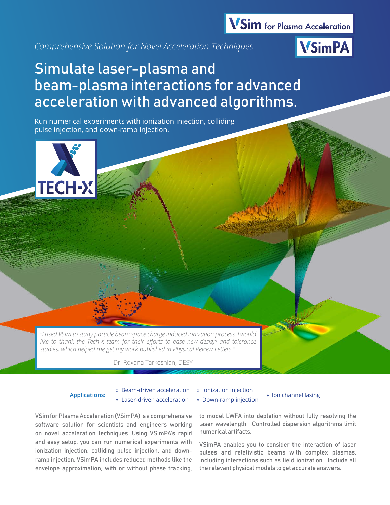*Comprehensive Solution for Novel Acceleration Techniques*



## Simulate laser-plasma and beam-plasma interactions for advanced acceleration with advanced algorithms.

Run numerical experiments with ionization injection, colliding pulse injection, and down-ramp injection.



*"I used VSim to study particle beam space charge induced ionization process. I would*  like to thank the Tech-X team for their efforts to ease new design and tolerance *studies, which helped me get my work published in Physical Review Letters."*

Dr. Roxana Tarkeshian, DESY

- **Applications:** » Beam-driven acceleration » Ionization injection » Ion channel lasing » Laser-driven acceleration » Down-ramp injection
	-
- -

VSim for Plasma Acceleration (VSimPA) is a comprehensive software solution for scientists and engineers working on novel acceleration techniques. Using VSimPA's rapid and easy setup, you can run numerical experiments with ionization injection, colliding pulse injection, and downramp injection. VSimPA includes reduced methods like the envelope approximation, with or without phase tracking,

to model LWFA into depletion without fully resolving the laser wavelength. Controlled dispersion algorithms limit numerical artifacts.

VSimPA enables you to consider the interaction of laser pulses and relativistic beams with complex plasmas, including interactions such as field ionization. Include all the relevant physical models to get accurate answers.